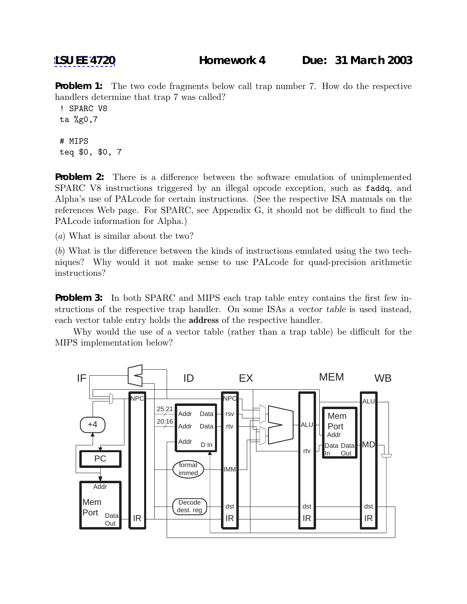**Problem 1:** The two code fragments below call trap number 7. How do the respective handlers determine that trap 7 was called?

```
! SPARC V8
ta %g0,7
# MIPS
teq $0, $0, 7
```
**Problem 2:** There is a difference between the software emulation of unimplemented SPARC V8 instructions triggered by an illegal opcode exception, such as faddq, and Alpha's use of PALcode for certain instructions. (See the respective ISA manuals on the references Web page. For SPARC, see Appendix G, it should not be difficult to find the PALcode information for Alpha.)

(a) What is similar about the two?

(b) What is the difference between the kinds of instructions emulated using the two techniques? Why would it not make sense to use PALcode for quad-precision arithmetic instructions?

**Problem 3:** In both SPARC and MIPS each trap table entry contains the first few instructions of the respective trap handler. On some ISAs a *vector table* is used instead, each vector table entry holds the **address** of the respective handler.

Why would the use of a vector table (rather than a trap table) be difficult for the MIPS implementation below?